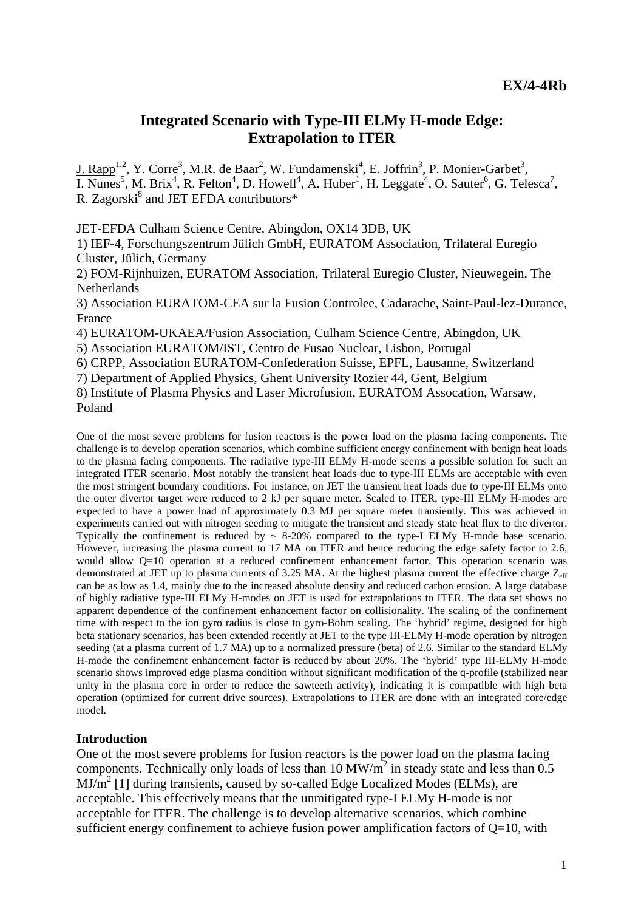# **Integrated Scenario with Type-III ELMy H-mode Edge: Extrapolation to ITER**

 $I. Rapp<sup>1,2</sup>, Y. Corre<sup>3</sup>, M.R. de Baar<sup>2</sup>, W. Fundamenski<sup>4</sup>, E. Joffrin<sup>3</sup>, P. Monier-Garbet<sup>3</sup>,$ I. Nunes<sup>5</sup>, M. Brix<sup>4</sup>, R. Felton<sup>4</sup>, D. Howell<sup>4</sup>, A. Huber<sup>1</sup>, H. Leggate<sup>4</sup>, O. Sauter<sup>6</sup>, G. Telesca<sup>7</sup>, R. Zagorski<sup>8</sup> and JET EFDA contributors\*

JET-EFDA Culham Science Centre, Abingdon, OX14 3DB, UK

1) IEF-4, Forschungszentrum Jülich GmbH, EURATOM Association, Trilateral Euregio Cluster, Jülich, Germany

2) FOM-Rijnhuizen, EURATOM Association, Trilateral Euregio Cluster, Nieuwegein, The Netherlands

3) Association EURATOM-CEA sur la Fusion Controlee, Cadarache, Saint-Paul-lez-Durance, France

4) EURATOM-UKAEA/Fusion Association, Culham Science Centre, Abingdon, UK

5) Association EURATOM/IST, Centro de Fusao Nuclear, Lisbon, Portugal

6) CRPP, Association EURATOM-Confederation Suisse, EPFL, Lausanne, Switzerland

7) Department of Applied Physics, Ghent University Rozier 44, Gent, Belgium

8) Institute of Plasma Physics and Laser Microfusion, EURATOM Assocation, Warsaw, Poland

One of the most severe problems for fusion reactors is the power load on the plasma facing components. The challenge is to develop operation scenarios, which combine sufficient energy confinement with benign heat loads to the plasma facing components. The radiative type-III ELMy H-mode seems a possible solution for such an integrated ITER scenario. Most notably the transient heat loads due to type-III ELMs are acceptable with even the most stringent boundary conditions. For instance, on JET the transient heat loads due to type-III ELMs onto the outer divertor target were reduced to 2 kJ per square meter. Scaled to ITER, type-III ELMy H-modes are expected to have a power load of approximately 0.3 MJ per square meter transiently. This was achieved in experiments carried out with nitrogen seeding to mitigate the transient and steady state heat flux to the divertor. Typically the confinement is reduced by ~ 8-20% compared to the type-I ELMy H-mode base scenario. However, increasing the plasma current to 17 MA on ITER and hence reducing the edge safety factor to 2.6, would allow Q=10 operation at a reduced confinement enhancement factor. This operation scenario was demonstrated at JET up to plasma currents of 3.25 MA. At the highest plasma current the effective charge  $Z_{\text{eff}}$ can be as low as 1.4, mainly due to the increased absolute density and reduced carbon erosion. A large database of highly radiative type-III ELMy H-modes on JET is used for extrapolations to ITER. The data set shows no apparent dependence of the confinement enhancement factor on collisionality. The scaling of the confinement time with respect to the ion gyro radius is close to gyro-Bohm scaling. The 'hybrid' regime, designed for high beta stationary scenarios, has been extended recently at JET to the type III-ELMy H-mode operation by nitrogen seeding (at a plasma current of 1.7 MA) up to a normalized pressure (beta) of 2.6. Similar to the standard ELMy H-mode the confinement enhancement factor is reduced by about 20%. The 'hybrid' type III-ELMy H-mode scenario shows improved edge plasma condition without significant modification of the q-profile (stabilized near unity in the plasma core in order to reduce the sawteeth activity), indicating it is compatible with high beta operation (optimized for current drive sources). Extrapolations to ITER are done with an integrated core/edge model.

### **Introduction**

One of the most severe problems for fusion reactors is the power load on the plasma facing components. Technically only loads of less than 10 MW/ $m^2$  in steady state and less than 0.5  $MJ/m<sup>2</sup>$  [1] during transients, caused by so-called Edge Localized Modes (ELMs), are acceptable. This effectively means that the unmitigated type-I ELMy H-mode is not acceptable for ITER. The challenge is to develop alternative scenarios, which combine sufficient energy confinement to achieve fusion power amplification factors of  $Q=10$ , with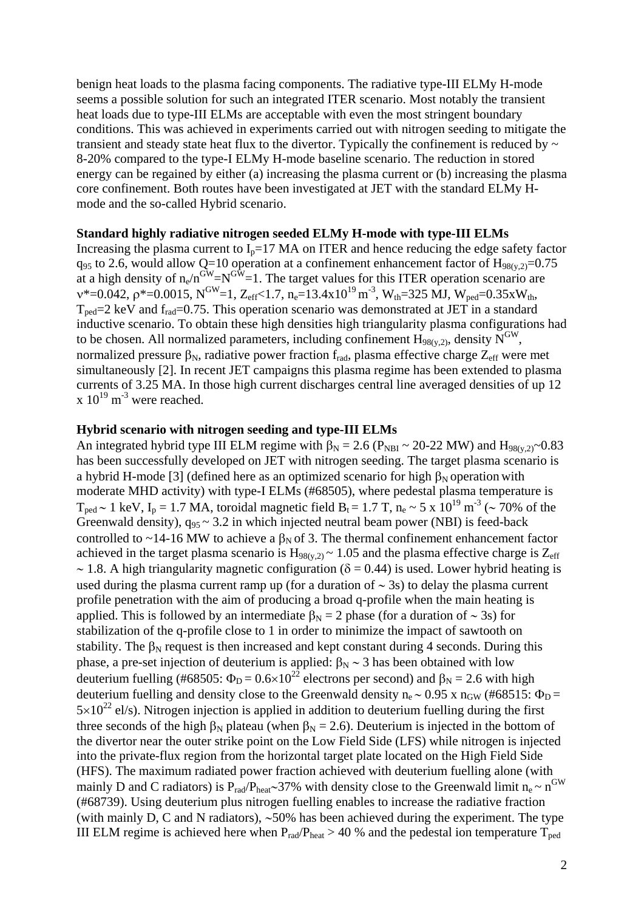benign heat loads to the plasma facing components. The radiative type-III ELMy H-mode seems a possible solution for such an integrated ITER scenario. Most notably the transient heat loads due to type-III ELMs are acceptable with even the most stringent boundary conditions. This was achieved in experiments carried out with nitrogen seeding to mitigate the transient and steady state heat flux to the divertor. Typically the confinement is reduced by  $\sim$ 8-20% compared to the type-I ELMy H-mode baseline scenario. The reduction in stored energy can be regained by either (a) increasing the plasma current or (b) increasing the plasma core confinement. Both routes have been investigated at JET with the standard ELMy Hmode and the so-called Hybrid scenario.

### **Standard highly radiative nitrogen seeded ELMy H-mode with type-III ELMs**

Increasing the plasma current to  $I_p=17$  MA on ITER and hence reducing the edge safety factor  $q_{95}$  to 2.6, would allow Q=10 operation at a confinement enhancement factor of  $H_{98(y,2)}=0.75$ at a high density of  $n_e/n<sup>GW</sup>=N<sup>GW</sup>=1$ . The target values for this ITER operation scenario are  $v^*$ =0.042,  $\rho^*$ =0.0015, N<sup>GW</sup>=1, Z<sub>eff</sub><1.7, n<sub>e</sub>=13.4x10<sup>19</sup> m<sup>-3</sup>, W<sub>th</sub>=325 MJ, W<sub>ped</sub>=0.35xW<sub>th</sub>,  $T_{\text{ped}}=2 \text{ keV}$  and  $f_{\text{rad}}=0.75$ . This operation scenario was demonstrated at JET in a standard inductive scenario. To obtain these high densities high triangularity plasma configurations had to be chosen. All normalized parameters, including confinement  $H_{98(v,2)}$ , density  $N^{\text{GW}}$ , normalized pressure  $\beta_N$ , radiative power fraction f<sub>rad</sub>, plasma effective charge  $Z_{\text{eff}}$  were met simultaneously [2]. In recent JET campaigns this plasma regime has been extended to plasma currents of 3.25 MA. In those high current discharges central line averaged densities of up 12  $x 10^{19}$  m<sup>-3</sup> were reached.

### **Hybrid scenario with nitrogen seeding and type-III ELMs**

An integrated hybrid type III ELM regime with  $\beta_N = 2.6$  ( $P_{NBI} \sim 20{\text -}22$  MW) and  $H_{98(y,2)}{\sim}0.83$ has been successfully developed on JET with nitrogen seeding. The target plasma scenario is a hybrid H-mode [3] (defined here as an optimized scenario for high  $\beta_N$  operation with moderate MHD activity) with type-I ELMs (#68505), where pedestal plasma temperature is  $T_{ped}$  ~ 1 keV, I<sub>p</sub> = 1.7 MA, toroidal magnetic field B<sub>t</sub> = 1.7 T, n<sub>e</sub> ~ 5 x 10<sup>19</sup> m<sup>-3</sup> (~ 70% of the Greenwald density),  $q_{95} \sim 3.2$  in which injected neutral beam power (NBI) is feed-back controlled to ~14-16 MW to achieve a  $\beta_N$  of 3. The thermal confinement enhancement factor achieved in the target plasma scenario is  $H_{98(y,2)} \sim 1.05$  and the plasma effective charge is  $Z_{eff}$ ~ 1.8. A high triangularity magnetic configuration ( $\delta$  = 0.44) is used. Lower hybrid heating is used during the plasma current ramp up (for a duration of ∼ 3s) to delay the plasma current profile penetration with the aim of producing a broad q-profile when the main heating is applied. This is followed by an intermediate  $\beta_N = 2$  phase (for a duration of ~ 3s) for stabilization of the q-profile close to 1 in order to minimize the impact of sawtooth on stability. The  $\beta_N$  request is then increased and kept constant during 4 seconds. During this phase, a pre-set injection of deuterium is applied:  $β_N ~ 3$  has been obtained with low deuterium fuelling (#68505:  $\Phi_D = 0.6 \times 10^{22}$  electrons per second) and  $\beta_N = 2.6$  with high deuterium fuelling and density close to the Greenwald density  $n_e \sim 0.95$  x  $n_{GW}$  (#68515:  $\Phi_D =$  $5\times10^{22}$  el/s). Nitrogen injection is applied in addition to deuterium fuelling during the first three seconds of the high  $\beta_N$  plateau (when  $\beta_N = 2.6$ ). Deuterium is injected in the bottom of the divertor near the outer strike point on the Low Field Side (LFS) while nitrogen is injected into the private-flux region from the horizontal target plate located on the High Field Side (HFS). The maximum radiated power fraction achieved with deuterium fuelling alone (with mainly D and C radiators) is P<sub>rad</sub>/P<sub>heat</sub>∼37% with density close to the Greenwald limit n<sub>e</sub> ~ n<sup>GW</sup> (#68739). Using deuterium plus nitrogen fuelling enables to increase the radiative fraction (with mainly D, C and N radiators), ∼50% has been achieved during the experiment. The type III ELM regime is achieved here when  $P_{rad}/P_{heat} > 40$  % and the pedestal ion temperature  $T_{ped}$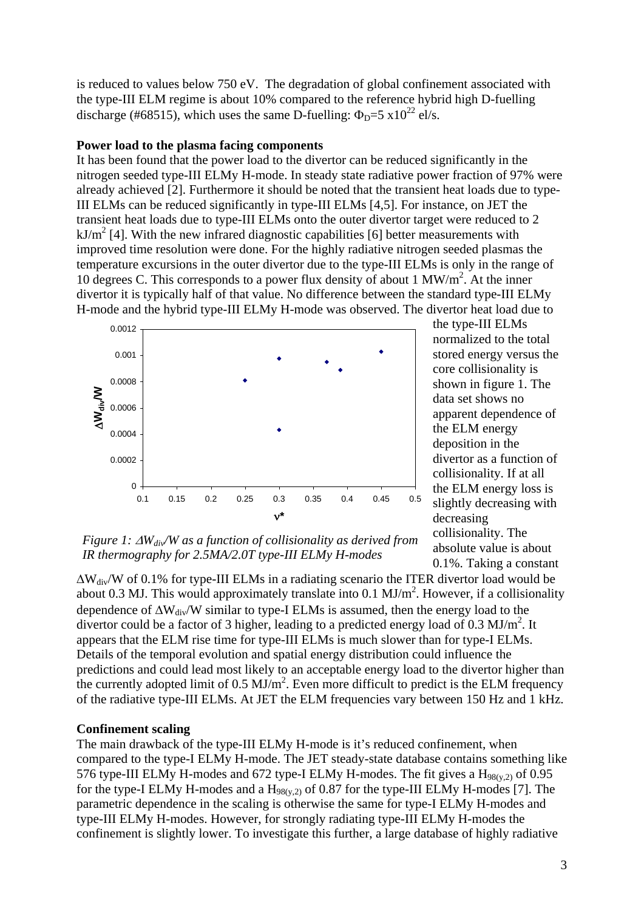is reduced to values below 750 eV. The degradation of global confinement associated with the type-III ELM regime is about 10% compared to the reference hybrid high D-fuelling discharge (#68515), which uses the same D-fuelling:  $\Phi_D = 5 \times 10^{22}$  el/s.

## **Power load to the plasma facing components**

It has been found that the power load to the divertor can be reduced significantly in the nitrogen seeded type-III ELMy H-mode. In steady state radiative power fraction of 97% were already achieved [2]. Furthermore it should be noted that the transient heat loads due to type-III ELMs can be reduced significantly in type-III ELMs [4,5]. For instance, on JET the transient heat loads due to type-III ELMs onto the outer divertor target were reduced to 2  $kJ/m<sup>2</sup>$  [4]. With the new infrared diagnostic capabilities [6] better measurements with improved time resolution were done. For the highly radiative nitrogen seeded plasmas the temperature excursions in the outer divertor due to the type-III ELMs is only in the range of 10 degrees C. This corresponds to a power flux density of about 1 MW/m2 . At the inner divertor it is typically half of that value. No difference between the standard type-III ELMy H-mode and the hybrid type-III ELMy H-mode was observed. The divertor heat load due to



the type-III ELMs normalized to the total stored energy versus the core collisionality is shown in figure 1. The data set shows no apparent dependence of the ELM energy deposition in the divertor as a function of collisionality. If at all the ELM energy loss is slightly decreasing with decreasing collisionality. The absolute value is about 0.1%. Taking a constant

*Figure 1:* Δ*Wdiv/W as a function of collisionality as derived from IR thermography for 2.5MA/2.0T type-III ELMy H-modes* 

 $\Delta W_{div}/W$  of 0.1% for type-III ELMs in a radiating scenario the ITER divertor load would be about 0.3 MJ. This would approximately translate into 0.1  $MJ/m<sup>2</sup>$ . However, if a collisionality dependence of  $\Delta W_{div}/W$  similar to type-I ELMs is assumed, then the energy load to the divertor could be a factor of 3 higher, leading to a predicted energy load of  $0.3 \text{ MJ/m}^2$ . It appears that the ELM rise time for type-III ELMs is much slower than for type-I ELMs. Details of the temporal evolution and spatial energy distribution could influence the predictions and could lead most likely to an acceptable energy load to the divertor higher than the currently adopted limit of  $0.5 \text{ MJ/m}^2$ . Even more difficult to predict is the ELM frequency of the radiative type-III ELMs. At JET the ELM frequencies vary between 150 Hz and 1 kHz.

## **Confinement scaling**

The main drawback of the type-III ELMy H-mode is it's reduced confinement, when compared to the type-I ELMy H-mode. The JET steady-state database contains something like 576 type-III ELMy H-modes and 672 type-I ELMy H-modes. The fit gives a  $H_{98(y,2)}$  of 0.95 for the type-I ELMy H-modes and a  $H_{98(y,2)}$  of 0.87 for the type-III ELMy H-modes [7]. The parametric dependence in the scaling is otherwise the same for type-I ELMy H-modes and type-III ELMy H-modes. However, for strongly radiating type-III ELMy H-modes the confinement is slightly lower. To investigate this further, a large database of highly radiative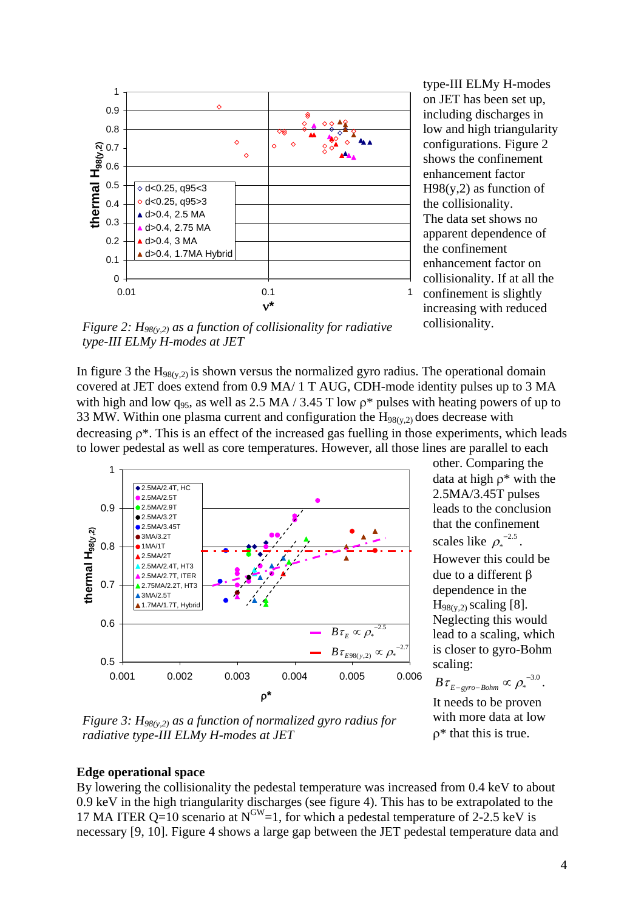

type-III ELMy H-modes on JET has been set up, including discharges in low and high triangularity configurations. Figure 2 shows the confinement enhancement factor  $H98(y,2)$  as function of the collisionality. The data set shows no apparent dependence of the confinement enhancement factor on collisionality. If at all the confinement is slightly increasing with reduced collisionality.

*Figure 2: H98(y,2) as a function of collisionality for radiative type-III ELMy H-modes at JET* 

In figure 3 the  $H_{98(y,2)}$  is shown versus the normalized gyro radius. The operational domain covered at JET does extend from 0.9 MA/ 1 T AUG, CDH-mode identity pulses up to 3 MA with high and low  $q_{95}$ , as well as 2.5 MA / 3.45 T low  $\rho^*$  pulses with heating powers of up to 33 MW. Within one plasma current and configuration the  $H_{98(y,2)}$  does decrease with decreasing ρ\*. This is an effect of the increased gas fuelling in those experiments, which leads to lower pedestal as well as core temperatures. However, all those lines are parallel to each



other. Comparing the data at high  $\rho^*$  with the 2.5MA/3.45T pulses leads to the conclusion that the confinement scales like  $\rho_*^{-2.5}$ . However this could be due to a different β dependence in the  $H_{98(y,2)}$  scaling [8]. Neglecting this would lead to a scaling, which is closer to gyro-Bohm scaling:  $\rho_*^{-}$ 

 $\cdot$ <sup>3.0</sup>.  $B\,\tau_{_{E-gyro-Bohm}}^{\phantom{F}}\propto{\rho_*}^{-1}$ It needs to be proven with more data at low ρ\* that this is true.

*Figure 3: H98(y,2) as a function of normalized gyro radius for radiative type-III ELMy H-modes at JET* 

### **Edge operational space**

By lowering the collisionality the pedestal temperature was increased from 0.4 keV to about 0.9 keV in the high triangularity discharges (see figure 4). This has to be extrapolated to the 17 MA ITER Q=10 scenario at  $N^{\text{GW}}=1$ , for which a pedestal temperature of 2-2.5 keV is necessary [9, 10]. Figure 4 shows a large gap between the JET pedestal temperature data and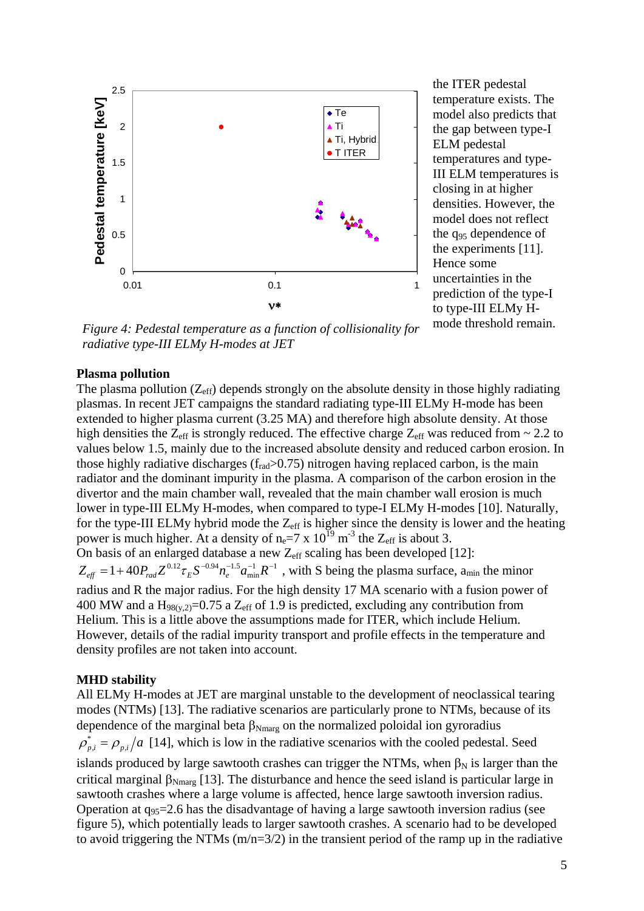

the ITER pedestal temperature exists. The model also predicts that the gap between type-I ELM pedestal temperatures and type-III ELM temperatures is closing in at higher densities. However, the model does not reflect the q<sub>95</sub> dependence of the experiments [11]. Hence some uncertainties in the prediction of the type-I to type-III ELMy Hmode threshold remain.

*Figure 4: Pedestal temperature as a function of collisionality for radiative type-III ELMy H-modes at JET* 

#### **Plasma pollution**

The plasma pollution  $(Z_{\text{eff}})$  depends strongly on the absolute density in those highly radiating plasmas. In recent JET campaigns the standard radiating type-III ELMy H-mode has been extended to higher plasma current (3.25 MA) and therefore high absolute density. At those high densities the  $Z_{\text{eff}}$  is strongly reduced. The effective charge  $Z_{\text{eff}}$  was reduced from  $\sim 2.2$  to values below 1.5, mainly due to the increased absolute density and reduced carbon erosion. In those highly radiative discharges  $(f_{rad} > 0.75)$  nitrogen having replaced carbon, is the main radiator and the dominant impurity in the plasma. A comparison of the carbon erosion in the divertor and the main chamber wall, revealed that the main chamber wall erosion is much lower in type-III ELMy H-modes, when compared to type-I ELMy H-modes [10]. Naturally, for the type-III ELMy hybrid mode the  $Z_{\text{eff}}$  is higher since the density is lower and the heating power is much higher. At a density of  $n_e=7 \times 10^{19}$  m<sup>-3</sup> the Z<sub>eff</sub> is about 3. On basis of an enlarged database a new  $Z_{\text{eff}}$  scaling has been developed [12]:  $\int_{\sin}^{1} R^{-1}$ , with S being the plasma surface, a<sub>min</sub> the minor radius and R the major radius. For the high density 17 MA scenario with a fusion power of 400 MW and a  $H_{98(y,2)}=0.75$  a  $Z_{eff}$  of 1.9 is predicted, excluding any contribution from Helium. This is a little above the assumptions made for ITER, which include Helium. However, details of the radial impurity transport and profile effects in the temperature and density profiles are not taken into account.  $Z_{\it eff} = 1 + 40 P_{\it rad} Z^{0.12} \tau_{\it E} S^{-0.94} n_{e}^{-1.5} a_{\rm min}^{-1} R^{-1}$ 

### **MHD stability**

All ELMy H-modes at JET are marginal unstable to the development of neoclassical tearing modes (NTMs) [13]. The radiative scenarios are particularly prone to NTMs, because of its dependence of the marginal beta  $\beta_{N\text{marg}}$  on the normalized poloidal ion gyroradius  $\rho_{p,i}^* = \rho_{p,i}/a$  [14], which is low in the radiative scenarios with the cooled pedestal. Seed islands produced by large sawtooth crashes can trigger the NTMs, when  $\beta_N$  is larger than the critical marginal  $\beta_{N\text{marg}}$  [13]. The disturbance and hence the seed island is particular large in sawtooth crashes where a large volume is affected, hence large sawtooth inversion radius. Operation at  $q_{95}=2.6$  has the disadvantage of having a large sawtooth inversion radius (see figure 5), which potentially leads to larger sawtooth crashes. A scenario had to be developed to avoid triggering the NTMs  $(m/n=3/2)$  in the transient period of the ramp up in the radiative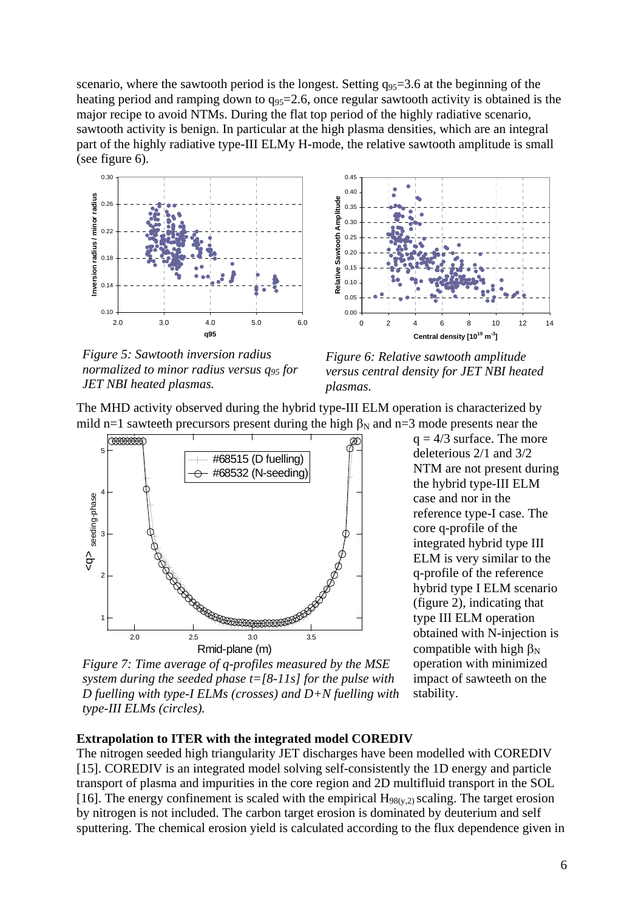scenario, where the sawtooth period is the longest. Setting  $q_{95}=3.6$  at the beginning of the heating period and ramping down to  $q_{95}=2.6$ , once regular sawtooth activity is obtained is the major recipe to avoid NTMs. During the flat top period of the highly radiative scenario, sawtooth activity is benign. In particular at the high plasma densities, which are an integral part of the highly radiative type-III ELMy H-mode, the relative sawtooth amplitude is small (see figure 6).



*Figure 5: Sawtooth inversion radius normalized to minor radius versus q95 for JET NBI heated plasmas.* 



*Figure 6: Relative sawtooth amplitude versus central density for JET NBI heated plasmas.*

The MHD activity observed during the hybrid type-III ELM operation is characterized by mild n=1 sawteeth precursors present during the high  $\beta_N$  and n=3 mode presents near the



*Figure 7: Time average of q-profiles measured by the MSE system during the seeded phase t=[8-11s] for the pulse with D fuelling with type-I ELMs (crosses) and D+N fuelling with type-III ELMs (circles).* 

 $q = 4/3$  surface. The more deleterious 2/1 and 3/2 NTM are not present during the hybrid type-III ELM case and nor in the reference type-I case. The core q-profile of the integrated hybrid type III ELM is very similar to the q-profile of the reference hybrid type I ELM scenario (figure 2), indicating that type III ELM operation obtained with N-injection is compatible with high  $\beta_N$ operation with minimized impact of sawteeth on the stability.

# **Extrapolation to ITER with the integrated model COREDIV**

The nitrogen seeded high triangularity JET discharges have been modelled with COREDIV [15]. COREDIV is an integrated model solving self-consistently the 1D energy and particle transport of plasma and impurities in the core region and 2D multifluid transport in the SOL [16]. The energy confinement is scaled with the empirical  $H_{98(y,2)}$  scaling. The target erosion by nitrogen is not included. The carbon target erosion is dominated by deuterium and self sputtering. The chemical erosion yield is calculated according to the flux dependence given in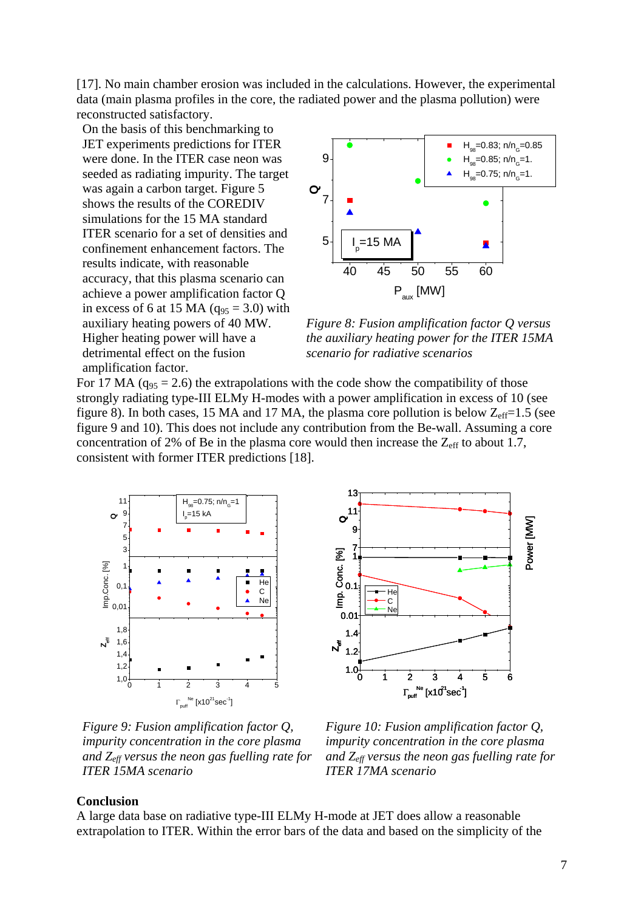[17]. No main chamber erosion was included in the calculations. However, the experimental data (main plasma profiles in the core, the radiated power and the plasma pollution) were reconstructed satisfactory.

On the basis of this benchmarking to JET experiments predictions for ITER were done. In the ITER case neon was seeded as radiating impurity. The target was again a carbon target. Figure 5 shows the results of the COREDIV simulations for the 15 MA standard ITER scenario for a set of densities and confinement enhancement factors. The results indicate, with reasonable accuracy, that this plasma scenario can achieve a power amplification factor Q in excess of 6 at 15 MA  $(q_{95} = 3.0)$  with auxiliary heating powers of 40 MW. Higher heating power will have a detrimental effect on the fusion amplification factor.



*Figure 8: Fusion amplification factor Q versus the auxiliary heating power for the ITER 15MA scenario for radiative scenarios* 

For 17 MA ( $q_{95}$  = 2.6) the extrapolations with the code show the compatibility of those strongly radiating type-III ELMy H-modes with a power amplification in excess of 10 (see figure 8). In both cases, 15 MA and 17 MA, the plasma core pollution is below  $Z_{\text{eff}}$ =1.5 (see figure 9 and 10). This does not include any contribution from the Be-wall. Assuming a core concentration of 2% of Be in the plasma core would then increase the  $Z_{\text{eff}}$  to about 1.7, consistent with former ITER predictions [18].





*Figure 9: Fusion amplification factor Q, impurity concentration in the core plasma and Zeff versus the neon gas fuelling rate for ITER 15MA scenario* 

*Figure 10: Fusion amplification factor Q, impurity concentration in the core plasma and Zeff versus the neon gas fuelling rate for ITER 17MA scenario*

#### **Conclusion**

A large data base on radiative type-III ELMy H-mode at JET does allow a reasonable extrapolation to ITER. Within the error bars of the data and based on the simplicity of the